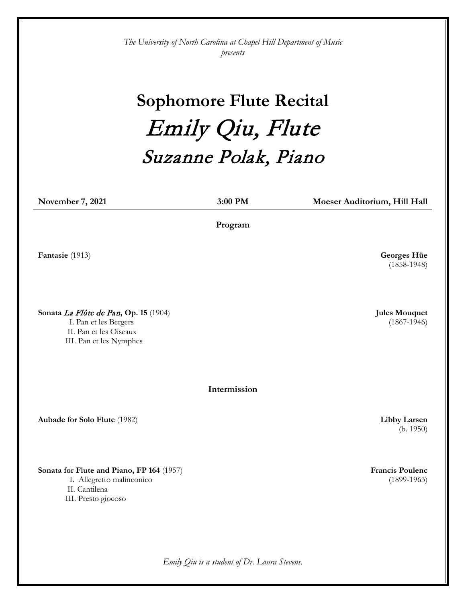*The University of North Carolina at Chapel Hill Department of Music presents*

## **Sophomore Flute Recital** Emily Qiu, Flute Suzanne Polak, Piano

**November 7, 2021 3:00 PM Moeser Auditorium, Hill Hall Program Fantasie** (1913) **Georges Hüe**  (1858-1948) **Sonata** La Flûte de Pan**, Op. 15** (1904) I. Pan et les Bergers II. Pan et les Oiseaux III. Pan et les Nymphes **Jules Mouquet**  (1867-1946) **Intermission Aubade for Solo Flute** (1982) **Libby Larsen**  (b. 1950) **Sonata for Flute and Piano, FP 164** (1957) I. Allegretto malinconico II. Cantilena III. Presto giocoso **Francis Poulenc**  (1899-1963)

*Emily Qiu is a student of Dr. Laura Stevens.*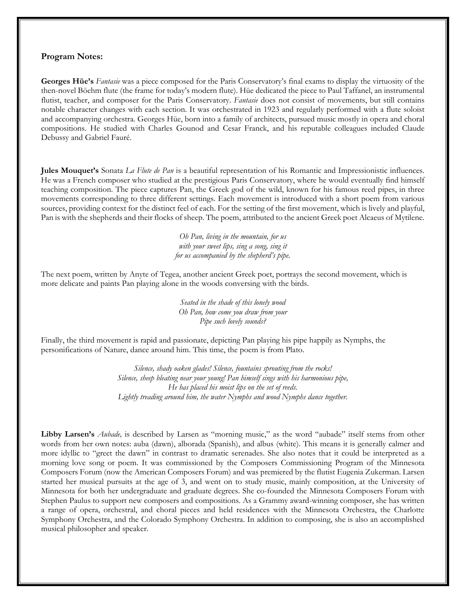## **Program Notes:**

**Georges Hüe's** *Fantasie* was a piece composed for the Paris Conservatory's final exams to display the virtuosity of the then-novel Böehm flute (the frame for today's modern flute). Hüe dedicated the piece to Paul Taffanel, an instrumental flutist, teacher, and composer for the Paris Conservatory. *Fantasie* does not consist of movements, but still contains notable character changes with each section. It was orchestrated in 1923 and regularly performed with a flute soloist and accompanying orchestra. Georges Hüe, born into a family of architects, pursued music mostly in opera and choral compositions. He studied with Charles Gounod and Cesar Franck, and his reputable colleagues included Claude Debussy and Gabriel Fauré.

**Jules Mouquet's** Sonata *La Flute de Pan* is a beautiful representation of his Romantic and Impressionistic influences. He was a French composer who studied at the prestigious Paris Conservatory, where he would eventually find himself teaching composition. The piece captures Pan, the Greek god of the wild, known for his famous reed pipes, in three movements corresponding to three different settings. Each movement is introduced with a short poem from various sources, providing context for the distinct feel of each. For the setting of the first movement, which is lively and playful, Pan is with the shepherds and their flocks of sheep. The poem, attributed to the ancient Greek poet Alcaeus of Mytilene.

> *Oh Pan, living in the mountain, for us with your sweet lips, sing a song, sing it for us accompanied by the shepherd's pipe.*

The next poem, written by Anyte of Tegea, another ancient Greek poet, portrays the second movement, which is more delicate and paints Pan playing alone in the woods conversing with the birds.

> *Seated in the shade of this lonely wood Oh Pan, how come you draw from your Pipe such lovely sounds?*

Finally, the third movement is rapid and passionate, depicting Pan playing his pipe happily as Nymphs, the personifications of Nature, dance around him. This time, the poem is from Plato.

> *Silence, shady oaken glades! Silence, fountains sprouting from the rocks! Silence, sheep bleating near your young! Pan himself sings with his harmonious pipe, He has placed his moist lips on the set of reeds. Lightly treading around him, the water Nymphs and wood Nymphs dance together.*

**Libby Larsen's** *Aubade,* is described by Larsen as "morning music," as the word "aubade" itself stems from other words from her own notes: auba (dawn), alborada (Spanish), and albus (white). This means it is generally calmer and more idyllic to "greet the dawn" in contrast to dramatic serenades. She also notes that it could be interpreted as a morning love song or poem. It was commissioned by the Composers Commissioning Program of the Minnesota Composers Forum (now the American Composers Forum) and was premiered by the flutist Eugenia Zukerman. Larsen started her musical pursuits at the age of 3, and went on to study music, mainly composition, at the University of Minnesota for both her undergraduate and graduate degrees. She co-founded the Minnesota Composers Forum with Stephen Paulus to support new composers and compositions. As a Grammy award-winning composer, she has written a range of opera, orchestral, and choral pieces and held residences with the Minnesota Orchestra, the Charlotte Symphony Orchestra, and the Colorado Symphony Orchestra. In addition to composing, she is also an accomplished musical philosopher and speaker.